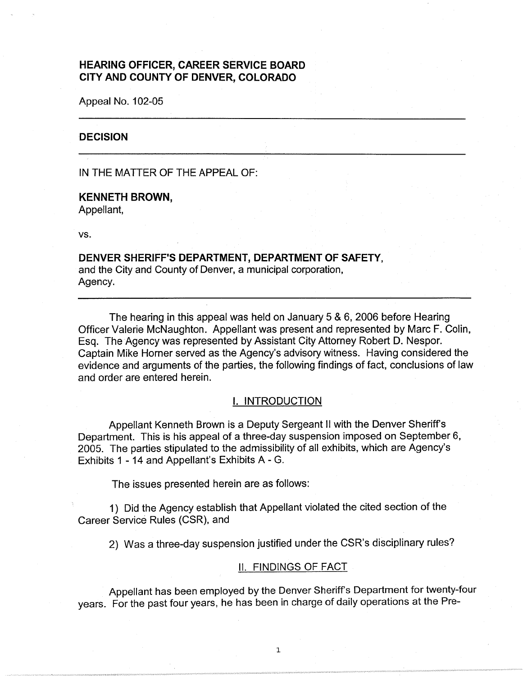# **HEARING OFFICER, CAREER SERVICE BOARD CITY AND COUNTY OF DENVER, COLORADO**

Appeal No. 102-05

### **DECISION**

IN THE MATTER OF THE APPEAL OF:

#### **KENNETH BROWN,**

Appellant,

vs.

## **DENVER SHERIFF'S DEPARTMENT, DEPARTMENT OF SAFETY,**  and the City and County of Denver, a municipal corporation,

Agency.

The hearing in this appeal was held on January 5 & 6, 2006 before Hearing Officer Valerie McNaughton. Appellant was present and represented by Marc F. Colin, Esq. The Agency was represented by Assistant City Attorney Robert D. Nespor. Captain Mike Horner served as the Agency's advisory witness. Having considered the evidence and arguments of the parties, the following findings of fact, conclusions of law and order are entered herein.

#### I. INTRODUCTION

Appellant Kenneth Brown is a Deputy Sergeant II with the Denver Sheriffs Department. This is his appeal of a three-day suspension imposed on September 6, 2005. The parties stipulated to the admissibility of all exhibits, which are Agency's Exhibits 1 - 14 and Appellant's Exhibits A - G.

The issues presented herein are as follows:

1) Did the Agency establish that Appellant violated the cited section of the Career Service Rules (CSR), and

2) Was a three-day suspension justified under the CSR's disciplinary rules?

#### II. FINDINGS OF FACT

Appellant has been employed by the Denver Sheriff's Department for twenty-four years. For the past four years, he has been in charge of daily operations at the Pre-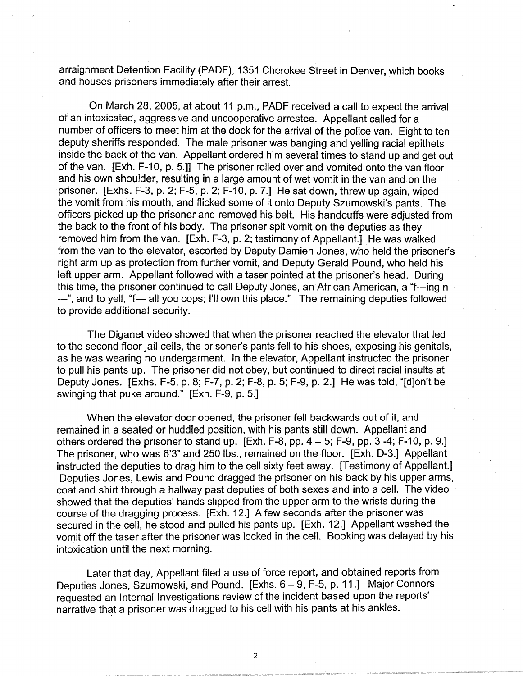arraignment Detention Facility (PADF), 1351 Cherokee Street in Denver, which books and houses prisoners immediately after their arrest.

On March 28, 2005, at about 11 p.m., PADF received a call to expect the arrival of an intoxicated, aggressive and uncooperative arrestee. Appellant called for a number of officers to meet him at the dock for the arrival of the police van. Eight to ten deputy sheriffs responded. The male prisoner was banging and yelling racial epithets inside the back of the van. Appellant ordered him several times to stand up and get out of the van. [Exh. F-10, p. 5.]] The prisoner rolled over and vomited onto the van floor and his own shoulder, resulting in a large amount of wet vomit in the van and on the prisoner. [Exhs. F-3, p. 2; F-5, p. 2; F-10, p. 7.] He sat down, threw up again, wiped the vomit from his mouth, and flicked some of it onto Deputy Szumowski's pants. The officers picked up the prisoner and removed his belt. His handcuffs were adjusted from the back to the front of his body. The prisoner spit vomit on the deputies as they removed him from the van. [Exh. F-3, p. 2; testimony of Appellant.] He was walked from the van to the elevator, escorted by Deputy Damien Jones, who held the prisoner's right arm up as protection from further vomit, and Deputy Gerald Pound, who held his left upper arm. Appellant followed with a taser pointed at the prisoner's head. During this time, the prisoner continued to call Deputy Jones, an African American, a "f---ing n-- ---", and to yell, "f--- all you cops; I'll own this place." The remaining deputies followed to provide additional security.

The Diganet video showed that when the prisoner reached the elevator that led to the second floor jail cells, the prisoner's pants fell to his shoes, exposing his genitals, as he was wearing no undergarment. In the elevator, Appellant instructed the prisoner to pull his pants up. The prisoner did not obey, but continued to direct racial insults at Deputy Jones. [Exhs. F-5, p. 8; F-7, p. 2; F-8, p. 5; F-9, p. 2.] He was told, "[d]on't be swinging that puke around." [Exh. F-9, p. 5.]

When the elevator door opened, the prisoner fell backwards out of it, and remained in a seated or huddled position, with his pants still down. Appellant and others ordered the prisoner to stand up.  $[Exh. F-8, pp. 4-5, F-9, pp. 3-4, F-10, p. 9.]$ The prisoner, who was 6'3" and 250 lbs., remained on the floor. [Exh. D-3.] Appellant instructed the deputies to drag him to the cell sixty feet away. [Testimony of Appellant.] Deputies Jones, Lewis and Pound dragged the prisoner on his back by his upper arms, coat and shirt through a hallway past deputies of both sexes and into a cell. The video showed that the deputies' hands slipped from the upper arm to the wrists during the course of the dragging process. [Exh. 12.] A few seconds after the prisoner was secured in the cell, he stood and pulled his pants up. [Exh. 12.] Appellant washed the vomit off the taser after the prisoner was locked in the cell. Booking was delayed by his intoxication until the next morning.

Later that day, Appellant filed a use of force report, and obtained reports from Deputies Jones, Szumowski, and Pound. [Exhs. 6 - 9, F-5, p. 11.] Major Connors requested an Internal Investigations review of the incident based upon the reports' narrative that a prisoner was dragged to his cell with his pants at his ankles.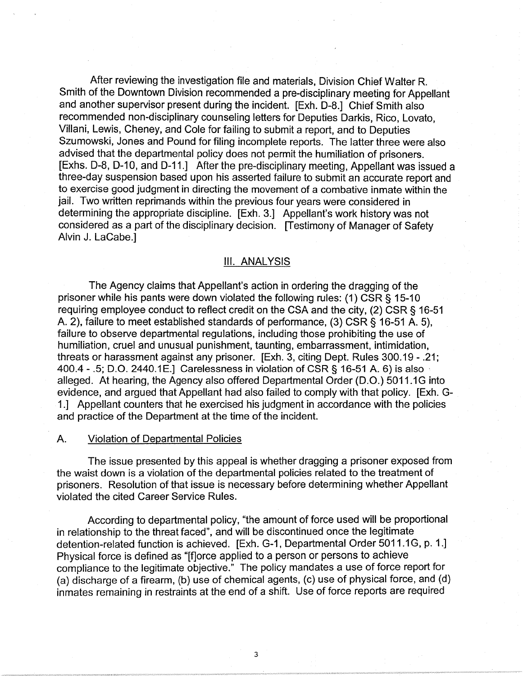After reviewing the investigation file and materials, Division Chief Walter R. Smith of the Downtown Division recommended a pre-disciplinary meeting for Appellant and another supervisor present during the incident. [Exh. D-8.] Chief Smith also recommended non-disciplinary counseling letters for Deputies Darkis, Rico, Lovato, Villani, Lewis, Cheney, and Cole for failing to submit a report, and to Deputies Szumowski, Jones and Pound for filing incomplete reports. The latter three were also advised that the departmental policy does not permit the humiliation of prisoners. [Exhs. D-8, D-10, and D-11.] After the pre-disciplinary meeting, Appellant was issued a three-day suspension based upon his asserted failure to submit an accurate report and to exercise good judgment in directing the movement of a combative inmate within the jail. Two written reprimands within the previous four years were considered in determining the appropriate discipline. [Exh. 3.] Appellant's work history was not considered as a part of the disciplinary decision. [Testimony of Manager of Safety Alvin J. LaCabe.]

### Ill. ANALYSIS

The Agency claims that Appellant's action in ordering the dragging of the prisoner while his pants were down violated the following rules: (1) CSR § 15-10 requiring employee conduct to reflect credit on the CSA and the city, (2) CSR § 16-51 A. 2), failure to meet established standards of performance, (3) CSR§ 16-51 A. 5), failure to observe departmental regulations, including those prohibiting the use of humiliation, cruel and unusual punishment, taunting, embarrassment, intimidation, threats or harassment against any prisoner. [Exh. 3, citing Dept. Rules 300.19 - .21; 400.4 - .5; 0.0. 2440.1 E.] Carelessness in violation of CSR § 16-51 A. 6) is also , alleged. At hearing, the Agency also offered Departmental Order (D.O.) 5011.1G into evidence, and argued that Appellant had also failed to comply with that policy. [Exh. G-1.] Appellant counters that he exercised his judgment in accordance with the policies and practice of the Department at the time of the incident.

## A. Violation of Departmental Policies

The issue presented by this appeal is whether dragging a prisoner exposed from the waist down is a violation of the departmental policies related to the treatment of prisoners. Resolution of that issue is necessary before determining whether Appellant violated the cited Career Service Rules.

According to departmental policy, "the amount of force used will be proportional in relationship to the threat faced", and will be discontinued once the legitimate detention-related function is achieved. [Exh. G-1, Departmental Order 5011.1G, p. 1.] Physical force is defined as "[f]orce applied to a person or persons to achieve compliance to the legitimate objective." The policy mandates a use of force report for (a) discharge of a firearm, (b) use of chemical agents, (c) use of physical force, and (d) inmates remaining in restraints at the end of a shift. Use of force reports are required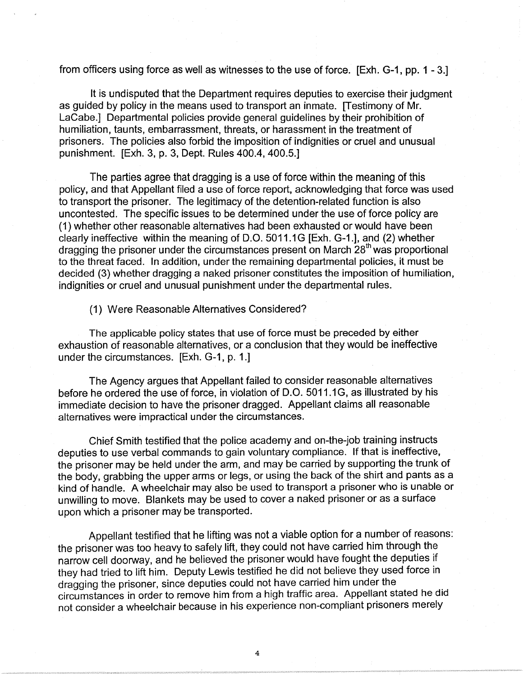from officers using force as well as witnesses to the use of force. [Exh. G-1, pp. 1 - 3.]

It is undisputed that the Department requires deputies to exercise their judgment as guided by policy in the means used to transport an inmate. [Testimony of Mr. LaCabe.] Departmental policies provide general guidelines by their prohibition of humiliation, taunts, embarrassment, threats, or harassment in the treatment of prisoners. The policies also forbid the imposition of indignities or cruel and unusual punishment. [Exh. 3, p. 3, Dept. Rules 400.4, 400.5.]

The parties agree that dragging is a use of force within the meaning of this policy, and that Appellant filed a use of force report, acknowledging that force was used to transport the prisoner. The legitimacy of the detention-related function is also uncontested. The specific issues to be determined under the use of force policy are (1) whether other reasonable alternatives had been exhausted or would have been clearly ineffective within the meaning of D.O. 5011.1 G [Exh. G-1.], and (2) whether dragging the prisoner under the circumstances present on March 28<sup>th</sup> was proportional to the threat faced. In addition, under the remaining departmental policies, it must be decided (3) whether dragging a naked prisoner constitutes the imposition of humiliation, indignities or cruel and unusual punishment under the departmental rules.

(1) Were Reasonable Alternatives Considered?

The applicable policy states that use of force must be preceded by either exhaustion of reasonable alternatives, or a conclusion that they would be ineffective under the circumstances. [Exh. G-1, p. 1.]

The Agency argues that Appellant failed to consider reasonable alternatives before he ordered the use of force, in violation of D.O. 5011.1G, as illustrated by his immediate decision to have the prisoner dragged. Appellant claims all reasonable alternatives were impractical under the circumstances.

Chief Smith testified that the police academy and on-the-job training instructs deputies to use verbal commands to gain voluntary compliance. If that is ineffective, the prisoner may be held under the arm, and may be carried by supporting the trunk of the body, grabbing the upper arms or legs, or using the back of the shirt and pants as a kind of handle. A wheelchair may also be used to transport a prisoner who is unable or unwilling to move. Blankets may be used to cover a naked prisoner or as a surface upon which a prisoner may be transported.

Appellant testified that he lifting was not a viable option for a number of reasons: the prisoner was too heavy to safely lift, they could not have carried him through the narrow cell doorway, and he believed the prisoner would have fought the deputies if they had tried to lift him. Deputy Lewis testified he did not believe they used force in dragging the prisoner, since deputies could not have carried him under the circumstances in order to remove him from a high traffic area. Appellant stated he did not consider a wheelchair because in his experience non-compliant prisoners merely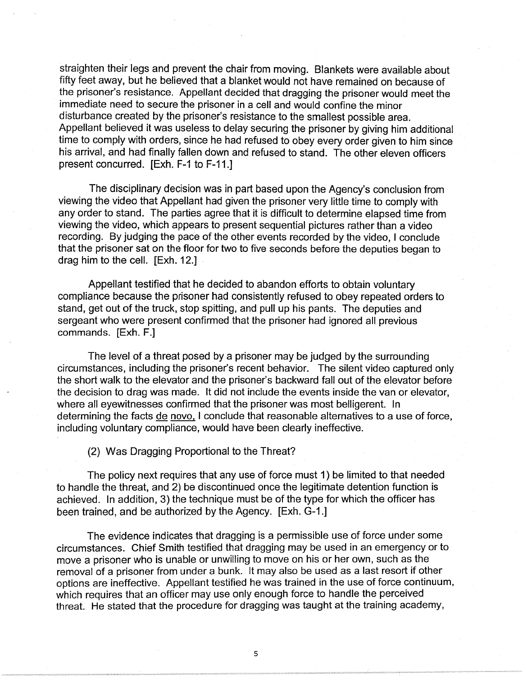straighten their legs and prevent the chair from moving. Blankets were available about fifty feet away, but he believed that a blanket would not have remained on because of the prisoner's resistance. Appellant decided that dragging the prisoner would meet the immediate need to secure the prisoner in a cell and would confine the minor disturbance created by the prisoner's resistance to the smallest possible area. Appellant believed it was useless to delay securing the prisoner by giving him additional time to comply with orders, since he had refused to obey every order given to him since his arrival, and had finally fallen down and refused to stand. The other eleven officers present concurred. [Exh. F-1 to F-11.]

The disciplinary decision was in part based upon the Agency's conclusion from viewing the video that Appellant had given the prisoner very little time to comply with any order to stand. The parties agree that it is difficult to determine elapsed time from viewing the video, which appears to present sequential pictures rather than a video recording. By judging the pace of the other events recorded by the video, I conclude that the prisoner sat on the floor for two to five seconds before the deputies began to drag him to the cell. [Exh. 12.]

Appellant testified that he decided to abandon efforts to obtain voluntary compliance because the prisoner had consistently refused to obey repeated orders to stand, get out of the truck, stop spitting, and pull up his pants. The deputies and sergeant who were present confirmed that the prisoner had ignored all previous commands. [Exh. F.]

The level of a threat posed by a prisoner may be judged by the surrounding circumstances, including the prisoner's recent behavior. The silent video captured only the short walk to the elevator and the prisoner's backward fall out of the elevator before the decision to drag was made. It did not include the events inside the van or elevator, where all eyewitnesses confirmed that the prisoner was most belligerent. In determining the facts de novo, I conclude that reasonable alternatives to a use of force, including voluntary compliance, would have been clearly ineffective.

(2) Was Dragging Proportional to the Threat?

The policy next requires that any use of force must 1) be limited to that needed to handle the threat, and 2) be discontinued once the legitimate detention function is achieved. In addition, 3) the technique must be of the type for which the officer has been trained, and be authorized by the Agency. [Exh. G-1.]

The evidence indicates that dragging is a permissible use of force under some circumstances. Chief Smith testified that dragging may be used in an emergency or to move a prisoner who is unable or unwilling to move on his or her own, such as the removal of a prisoner from under a bunk. It may also be used as a last resort if other options are ineffective. Appellant testified he was trained in the use of force continuum, which requires that an officer may use only enough force to handle the perceived threat. He stated that the procedure for dragging was taught at the training academy,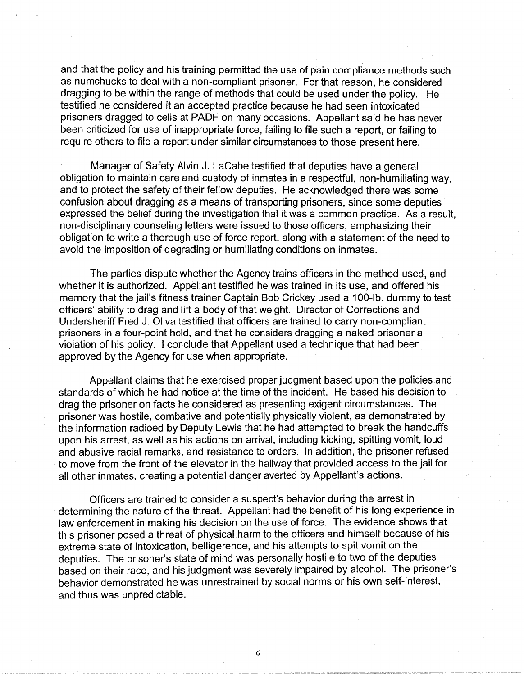and that the policy and his training permitted the use of pain compliance methods such as numchucks to deal with a non-compliant prisoner. For that reason, he considered dragging to be within the range of methods that could be used under the policy. He testified he considered it an accepted practice because he had seen intoxicated prisoners dragged to cells at PADF on many occasions. Appellant said he has never been criticized for use of inappropriate force, failing to file such a report, or failing to require others to file a report under similar circumstances to those present here.

Manager of Safety Alvin J. LaCabe testified that deputies have a general obligation to maintain care and custody of inmates in a respectful, non-humiliating way, and to protect the safety of their fellow deputies. He acknowledged there was some confusion about dragging as a means of transporting prisoners, since some deputies expressed the belief during the investigation that it was a common practice. As a result, non-disciplinary counseling letters were issued to those officers, emphasizing their obligation to write a thorough use of force report, along with a statement of the need to avoid the imposition of degrading or humiliating conditions on inmates.

The parties dispute whether the Agency trains officers in the method used, and whether it is authorized. Appellant testified he was trained in its use, and offered his memory that the jail's fitness trainer Captain Bob Crickey used a 100-lb. dummy to test officers' ability to drag and lift a body of that weight. Director of Corrections and Undersheriff Fred J. Oliva testified that officers are trained to carry non-compliant prisoners in a four-point hold, and that he considers dragging a naked prisoner a violation of his policy. I conclude that Appellant used a technique that had been approved by the Agency for use when appropriate.

Appellant claims that he exercised proper judgment based upon the policies and standards of which he had notice at the time of the incident. He based his decision to drag the prisoner on facts he considered as presenting exigent circumstances. The prisoner was hostile, combative and potentially physically violent, as demonstrated by the information radioed by Deputy Lewis that he had attempted to break the handcuffs upon his arrest, as well as his actions on arrival, including kicking, spitting vomit, loud and abusive racial remarks, and resistance to orders. In addition, the prisoner refused to move from the front of the elevator in the hallway that provided access to the jail for all other inmates, creating a potential danger averted by Appellant's actions.

Officers are trained to consider a suspect's behavior during the arrest in determining the nature of the threat. Appellant had the benefit of his long experience in law enforcement in making his decision on the use of force. The evidence shows that this prisoner posed a threat of physical harm to the officers and himself because of his extreme state of intoxication, belligerence, and his attempts to spit vomit on the deputies. The prisoner's state of mind was personally hostile to two of the deputies based on their race, and his judgment was severely impaired by alcohol. The prisoner's behavior demonstrated he was unrestrained by social norms or his own self-interest, and thus was unpredictable.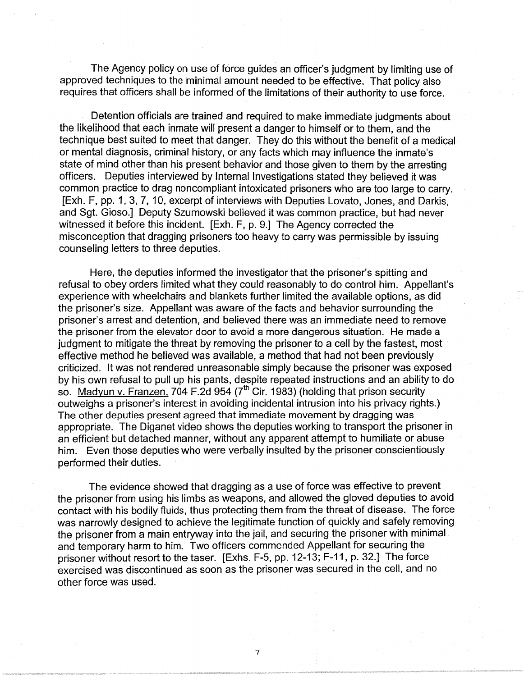The Agency policy on use of force guides an officer's judgment by limiting use of approved techniques to the minimal amount needed to be effective. That policy also requires that officers shall be informed of the limitations of their authority to use force.

Detention officials are trained and required to make immediate judgments about the likelihood that each inmate will present a danger to himself or to them, and the technique best suited to meet that danger. They do this without the benefit of a medical or mental diagnosis, criminal history, or any facts which may influence the inmate's state of mind other than his present behavior and those given to them by the arresting officers. Deputies interviewed by Internal Investigations stated they believed it was common practice to drag noncompliant intoxicated prisoners who are too large to carry. [Exh. F, pp. 1, 3, 7, 10, excerpt of interviews with Deputies Lovato, Jones, and Darkis, and Sgt. Gioso.] Deputy Szumowski believed it was common practice, but had never witnessed it before this incident. [Exh. F, p. 9.] The Agency corrected the misconception that dragging prisoners too heavy to carry was permissible by issuing counseling letters to three deputies.

Here, the deputies informed the investigator that the prisoner's spitting and refusal to obey orders limited what they could reasonably to do control him. Appellant's experience with wheelchairs and blankets further limited the available options, as did the prisoner's size. Appellant was aware of the facts and behavior surrounding the prisoner's arrest and detention, and believed there was an immediate need to remove the prisoner from the elevator door to avoid a more dangerous situation. He made a judgment to mitigate the threat by removing the prisoner to a cell by the fastest, most effective method he believed was available, a method that had not been previously criticized. It was not rendered unreasonable simply because the prisoner was exposed by his own refusal to pull up his pants, despite repeated instructions and an ability to do so. Madyun v. Franzen, 704 F.2d 954 (7<sup>th</sup> Cir. 1983) (holding that prison security outweighs a prisoner's interest in avoiding incidental intrusion into his privacy rights.) The other deputies present agreed that immediate movement by dragging was appropriate. The Diganet video shows the deputies working to transport the prisoner in an efficient but detached manner, without any apparent attempt to humiliate or abuse him. Even those deputies who were verbally insulted by the prisoner conscientiously performed their duties.

The evidence showed that dragging as a use of force was effective to prevent the prisoner from using his limbs as weapons, and allowed the gloved deputies to avoid contact with his bodily fluids, thus protecting them from the threat of disease. The force was narrowly designed to achieve the legitimate function of quickly and safely removing the prisoner from a main entryway into the jail, and securing the prisoner with minimal and temporary harm to him. Two officers commended Appellant for securing the prisoner without resort to the taser. [Exhs. F-5, pp. 12-13; F-11, p. 32.] The force exercised was discontinued as soon as the prisoner was secured in the cell, and no other force was used.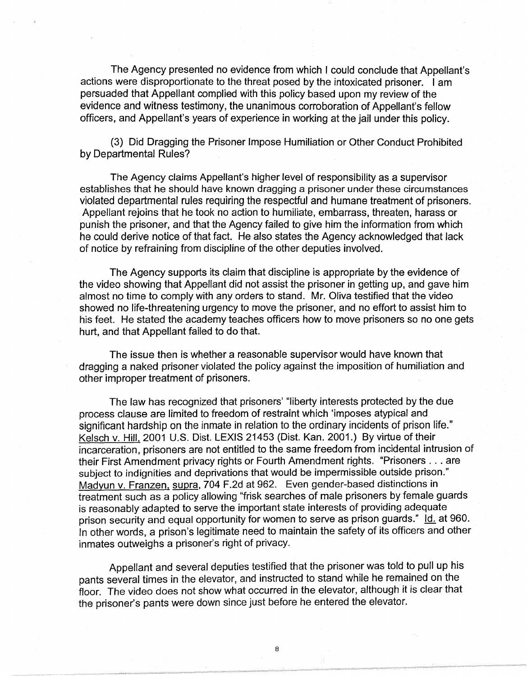The Agency presented no evidence from which I could conclude that Appellant's actions were disproportionate to the threat posed by the intoxicated prisoner. I am persuaded that Appellant complied with this policy based upon my review of the evidence and witness testimony, the unanimous corroboration of Appellant's fellow officers, and Appellant's years of experience in working at the jail under this policy.

(3) Did Dragging the Prisoner Impose Humiliation or Other Conduct Prohibited by Departmental Rules?

The Agency claims Appellant's higher level of responsibility as a supervisor establishes that he should have known dragging a prisoner under these circumstances violated departmental rules requiring the respectful and humane treatment of prisoners. Appellant rejoins that he took no action to humiliate, embarrass, threaten, harass or punish the prisoner, and that the Agency failed to give him the information from which he could derive notice of that fact. He also states the Agency acknowledged that lack of notice by refraining from discipline of the other deputies involved.

The Agency supports its claim that discipline is appropriate by the evidence of the video showing that Appellant did not assist the prisoner in getting up, and gave him almost no time to comply with any orders to stand. Mr. Oliva testified that the video showed no life-threatening urgency to move the prisoner, and no effort to assist him to his feet. He stated the academy teaches officers how to move prisoners so no one gets hurt, and that Appellant failed to do that.

The issue then is whether a reasonable supervisor would have known that dragging a naked prisoner violated the policy against the imposition of humiliation and other improper treatment of prisoners.

The law has recognized that prisoners' "liberty interests protected by the due process clause are limited to freedom of restraint which 'imposes atypical and significant hardship on the inmate in relation to the ordinary incidents of prison life." Kelsch v. Hill, 2001 U.S. Dist. LEXIS 21453 (Dist. Kan. 2001.) By virtue of their incarceration, prisoners are not entitled to the same freedom from incidental intrusion of their First Amendment privacy rights or Fourth Amendment rights. "Prisoners ... are subject to indignities and deprivations that would be impermissible outside prison." Madyun v. Franzen, supra, 704 F.2d at 962. Even gender-based distinctions in treatment such as a policy allowing "frisk searches of male prisoners by female guards is reasonably adapted to serve the important state interests of providing adequate prison security and equal opportunity for women to serve as prison guards."  $\underline{\text{ld}}$  at 960. In other words, a prison's legitimate need to maintain the safety of its officers and other inmates outweighs a prisoner's right of privacy.

Appellant and several deputies testified that the prisoner was told to pull up his pants several times in the elevator, and instructed to stand while he remained on the floor. The video does not show what occurred in the elevator, although it is clear that the prisoner's pants were down since just before he entered the elevator.